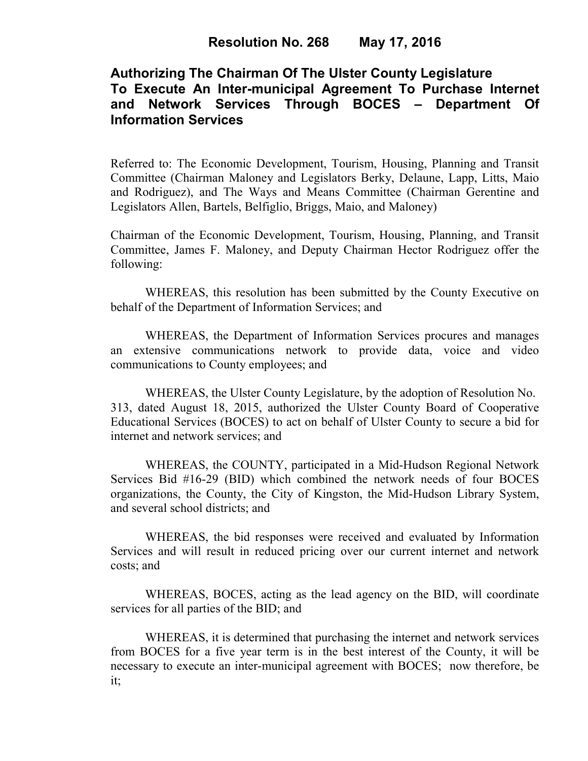# **Authorizing The Chairman Of The Ulster County Legislature To Execute An Inter-municipal Agreement To Purchase Internet and Network Services Through BOCES – Department Of Information Services**

Referred to: The Economic Development, Tourism, Housing, Planning and Transit Committee (Chairman Maloney and Legislators Berky, Delaune, Lapp, Litts, Maio and Rodriguez), and The Ways and Means Committee (Chairman Gerentine and Legislators Allen, Bartels, Belfiglio, Briggs, Maio, and Maloney)

Chairman of the Economic Development, Tourism, Housing, Planning, and Transit Committee, James F. Maloney, and Deputy Chairman Hector Rodriguez offer the following:

WHEREAS, this resolution has been submitted by the County Executive on behalf of the Department of Information Services; and

WHEREAS, the Department of Information Services procures and manages an extensive communications network to provide data, voice and video communications to County employees; and

WHEREAS, the Ulster County Legislature, by the adoption of Resolution No. 313, dated August 18, 2015, authorized the Ulster County Board of Cooperative Educational Services (BOCES) to act on behalf of Ulster County to secure a bid for internet and network services; and

WHEREAS, the COUNTY, participated in a Mid-Hudson Regional Network Services Bid #16-29 (BID) which combined the network needs of four BOCES organizations, the County, the City of Kingston, the Mid-Hudson Library System, and several school districts; and

WHEREAS, the bid responses were received and evaluated by Information Services and will result in reduced pricing over our current internet and network costs; and

WHEREAS, BOCES, acting as the lead agency on the BID, will coordinate services for all parties of the BID; and

WHEREAS, it is determined that purchasing the internet and network services from BOCES for a five year term is in the best interest of the County, it will be necessary to execute an inter-municipal agreement with BOCES; now therefore, be it;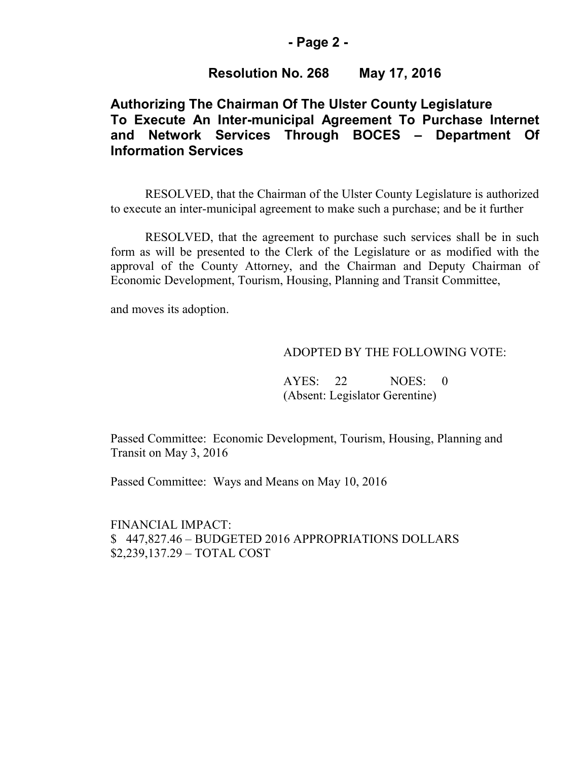### **- Page 2 -**

### **Resolution No. 268 May 17, 2016**

## **Authorizing The Chairman Of The Ulster County Legislature To Execute An Inter-municipal Agreement To Purchase Internet and Network Services Through BOCES – Department Of Information Services**

RESOLVED, that the Chairman of the Ulster County Legislature is authorized to execute an inter-municipal agreement to make such a purchase; and be it further

RESOLVED, that the agreement to purchase such services shall be in such form as will be presented to the Clerk of the Legislature or as modified with the approval of the County Attorney, and the Chairman and Deputy Chairman of Economic Development, Tourism, Housing, Planning and Transit Committee,

and moves its adoption.

#### ADOPTED BY THE FOLLOWING VOTE:

AYES: 22 NOES: 0 (Absent: Legislator Gerentine)

Passed Committee: Economic Development, Tourism, Housing, Planning and Transit on May 3, 2016

Passed Committee: Ways and Means on May 10, 2016

FINANCIAL IMPACT: \$ 447,827.46 – BUDGETED 2016 APPROPRIATIONS DOLLARS \$2,239,137.29 – TOTAL COST